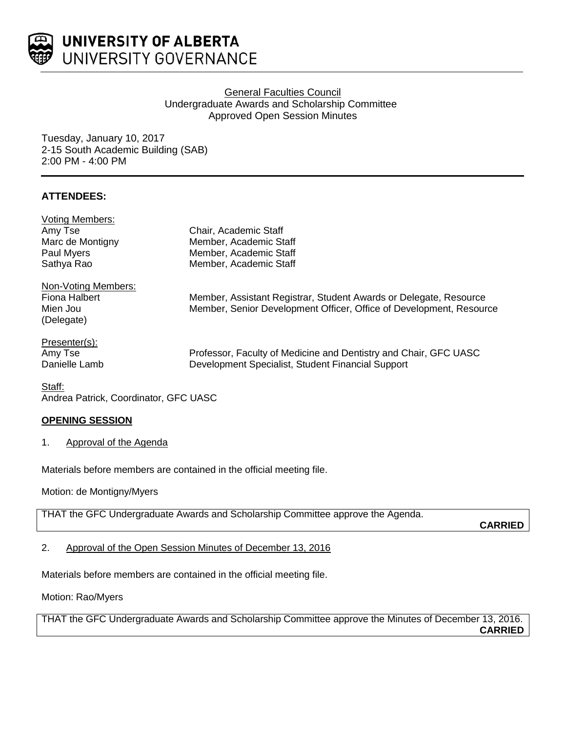

UNIVERSITY OF ALBERTA UNIVERSITY GOVERNANCE

# General Faculties Council Undergraduate Awards and Scholarship Committee Approved Open Session Minutes

Tuesday, January 10, 2017 2-15 South Academic Building (SAB) 2:00 PM - 4:00 PM

# **ATTENDEES:**

| <b>Voting Members:</b> |                                                                     |
|------------------------|---------------------------------------------------------------------|
| Amy Tse                | Chair, Academic Staff                                               |
| Marc de Montigny       | Member, Academic Staff                                              |
| Paul Myers             | Member, Academic Staff                                              |
| Sathya Rao             | Member, Academic Staff                                              |
| Non-Voting Members:    |                                                                     |
| Fiona Halbert          | Member, Assistant Registrar, Student Awards or Delegate, Resource   |
| Mien Jou               | Member, Senior Development Officer, Office of Development, Resource |
| (Delegate)             |                                                                     |
| Presenter(s):          |                                                                     |
| Amy Tse                | Professor, Faculty of Medicine and Dentistry and Chair, GFC UASC    |
| Danielle Lamb          | Development Specialist, Student Financial Support                   |

Staff: Andrea Patrick, Coordinator, GFC UASC

## **OPENING SESSION**

1. Approval of the Agenda

Materials before members are contained in the official meeting file.

Motion: de Montigny/Myers

THAT the GFC Undergraduate Awards and Scholarship Committee approve the Agenda.

**CARRIED**

2. Approval of the Open Session Minutes of December 13, 2016

Materials before members are contained in the official meeting file.

Motion: Rao/Myers

THAT the GFC Undergraduate Awards and Scholarship Committee approve the Minutes of December 13, 2016. **CARRIED**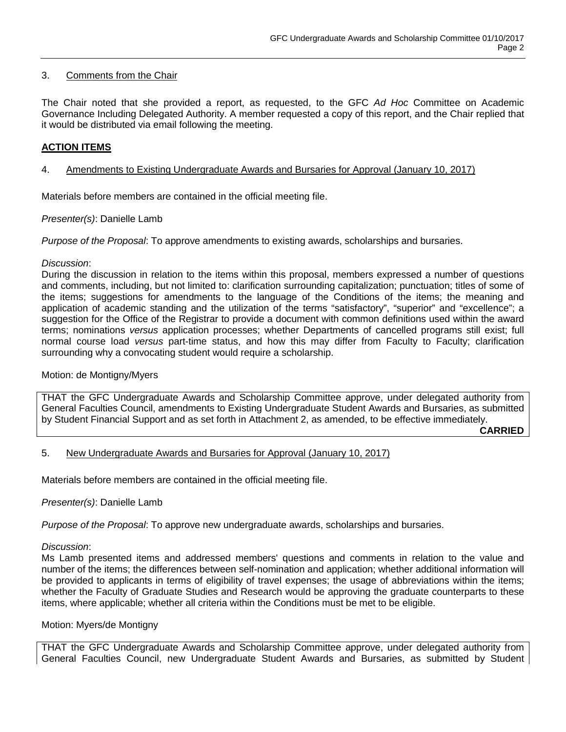## 3. Comments from the Chair

The Chair noted that she provided a report, as requested, to the GFC *Ad Hoc* Committee on Academic Governance Including Delegated Authority. A member requested a copy of this report, and the Chair replied that it would be distributed via email following the meeting.

# **ACTION ITEMS**

## 4. Amendments to Existing Undergraduate Awards and Bursaries for Approval (January 10, 2017)

Materials before members are contained in the official meeting file.

### *Presenter(s)*: Danielle Lamb

*Purpose of the Proposal*: To approve amendments to existing awards, scholarships and bursaries.

### *Discussion*:

During the discussion in relation to the items within this proposal, members expressed a number of questions and comments, including, but not limited to: clarification surrounding capitalization; punctuation; titles of some of the items; suggestions for amendments to the language of the Conditions of the items; the meaning and application of academic standing and the utilization of the terms "satisfactory", "superior" and "excellence"; a suggestion for the Office of the Registrar to provide a document with common definitions used within the award terms; nominations *versus* application processes; whether Departments of cancelled programs still exist; full normal course load *versus* part-time status, and how this may differ from Faculty to Faculty; clarification surrounding why a convocating student would require a scholarship.

#### Motion: de Montigny/Myers

THAT the GFC Undergraduate Awards and Scholarship Committee approve, under delegated authority from General Faculties Council, amendments to Existing Undergraduate Student Awards and Bursaries, as submitted by Student Financial Support and as set forth in Attachment 2, as amended, to be effective immediately.

**CARRIED**

## 5. New Undergraduate Awards and Bursaries for Approval (January 10, 2017)

Materials before members are contained in the official meeting file.

## *Presenter(s)*: Danielle Lamb

*Purpose of the Proposal*: To approve new undergraduate awards, scholarships and bursaries.

#### *Discussion*:

Ms Lamb presented items and addressed members' questions and comments in relation to the value and number of the items; the differences between self-nomination and application; whether additional information will be provided to applicants in terms of eligibility of travel expenses; the usage of abbreviations within the items; whether the Faculty of Graduate Studies and Research would be approving the graduate counterparts to these items, where applicable; whether all criteria within the Conditions must be met to be eligible.

#### Motion: Myers/de Montigny

THAT the GFC Undergraduate Awards and Scholarship Committee approve, under delegated authority from General Faculties Council, new Undergraduate Student Awards and Bursaries, as submitted by Student